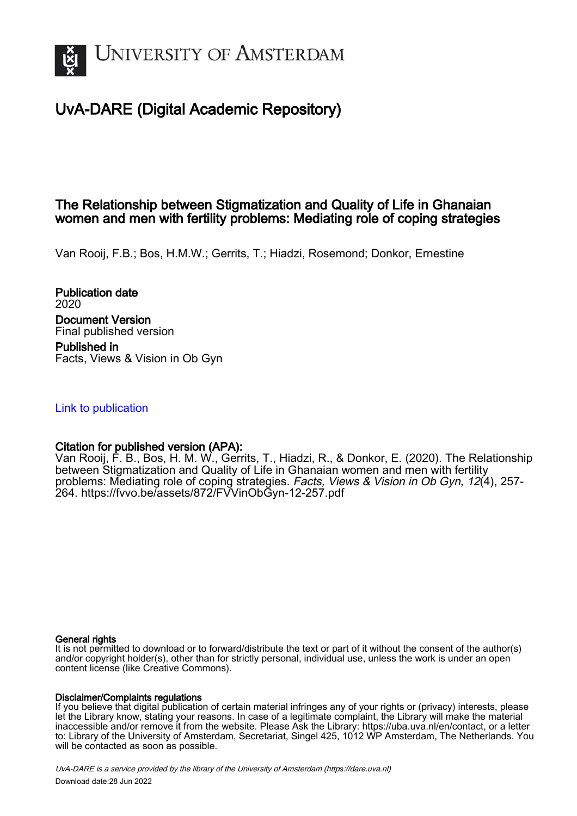

# UvA-DARE (Digital Academic Repository)

# The Relationship between Stigmatization and Quality of Life in Ghanaian women and men with fertility problems: Mediating role of coping strategies

Van Rooij, F.B.; Bos, H.M.W.; Gerrits, T.; Hiadzi, Rosemond; Donkor, Ernestine

Publication date 2020 Document Version Final published version Published in Facts, Views & Vision in Ob Gyn

# [Link to publication](https://dare.uva.nl/personal/pure/en/publications/the-relationship-between-stigmatization-and-quality-of-life-in-ghanaian-women-and-men-with-fertility-problems-mediating-role-of-coping-strategies(1996fb86-6cf7-40e0-bd43-a4dfa6d1eda2).html)

# Citation for published version (APA):

Van Rooij, F. B., Bos, H. M. W., Gerrits, T., Hiadzi, R., & Donkor, E. (2020). The Relationship between Stigmatization and Quality of Life in Ghanaian women and men with fertility problems: Mediating role of coping strategies. Facts, Views & Vision in Ob Gyn, 12(4), 257- 264. <https://fvvo.be/assets/872/FVVinObGyn-12-257.pdf>

#### General rights

It is not permitted to download or to forward/distribute the text or part of it without the consent of the author(s) and/or copyright holder(s), other than for strictly personal, individual use, unless the work is under an open content license (like Creative Commons).

#### Disclaimer/Complaints regulations

If you believe that digital publication of certain material infringes any of your rights or (privacy) interests, please let the Library know, stating your reasons. In case of a legitimate complaint, the Library will make the material inaccessible and/or remove it from the website. Please Ask the Library: https://uba.uva.nl/en/contact, or a letter to: Library of the University of Amsterdam, Secretariat, Singel 425, 1012 WP Amsterdam, The Netherlands. You will be contacted as soon as possible.

UvA-DARE is a service provided by the library of the University of Amsterdam (http*s*://dare.uva.nl) Download date:28 Jun 2022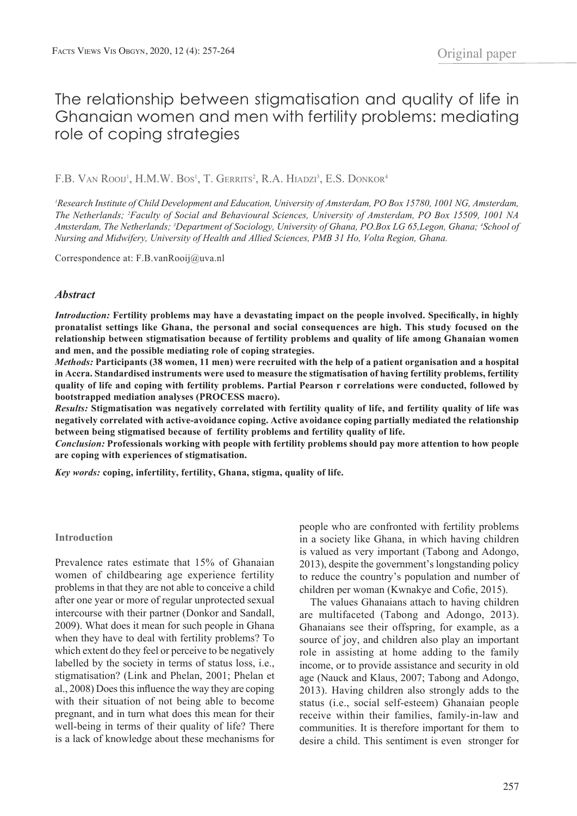# The relationship between stigmatisation and quality of life in Ghanaian women and men with fertility problems: mediating role of coping strategies

F.B. Van Rooij<sup>1</sup>, H.M.W. Bos<sup>1</sup>, T. Gerrits<sup>2</sup>, R.A. Hiadzi<sup>3</sup>, E.S. Donkor<sup>4</sup>

<sup>1</sup> Research Institute of Child Development and Education, University of Amsterdam, PO Box 15780, 1001 NG, Amsterdam, *The Netherlands; 2 Faculty of Social and Behavioural Sciences, University of Amsterdam, PO Box 15509, 1001 NA*  Amsterdam, The Netherlands; <sup>3</sup>Department of Sociology, University of Ghana, PO.Box LG 65,Legon, Ghana; <sup>4</sup>School of *Nursing and Midwifery, University of Health and Allied Sciences, PMB 31 Ho, Volta Region, Ghana.*

Correspondence at: F.B.vanRooij@uva.nl

#### *Abstract*

*Introduction:* **Fertility problems may have a devastating impact on the people involved. Specifically, in highly pronatalist settings like Ghana, the personal and social consequences are high. This study focused on the relationship between stigmatisation because of fertility problems and quality of life among Ghanaian women and men, and the possible mediating role of coping strategies.** 

*Methods:* **Participants (38 women, 11 men) were recruited with the help of a patient organisation and a hospital in Accra. Standardised instruments were used to measure the stigmatisation of having fertility problems, fertility quality of life and coping with fertility problems. Partial Pearson r correlations were conducted, followed by bootstrapped mediation analyses (PROCESS macro).** 

*Results:* **Stigmatisation was negatively correlated with fertility quality of life, and fertility quality of life was negatively correlated with active-avoidance coping. Active avoidance coping partially mediated the relationship between being stigmatised because of fertility problems and fertility quality of life.** 

*Conclusion:* **Professionals working with people with fertility problems should pay more attention to how people are coping with experiences of stigmatisation.**

*Key words:* **coping, infertility, fertility, Ghana, stigma, quality of life.**

#### **Introduction**

Prevalence rates estimate that 15% of Ghanaian women of childbearing age experience fertility problems in that they are not able to conceive a child after one year or more of regular unprotected sexual intercourse with their partner (Donkor and Sandall, 2009). What does it mean for such people in Ghana when they have to deal with fertility problems? To which extent do they feel or perceive to be negatively labelled by the society in terms of status loss, i.e., stigmatisation? (Link and Phelan, 2001; Phelan et al., 2008) Does this influence the way they are coping with their situation of not being able to become pregnant, and in turn what does this mean for their well-being in terms of their quality of life? There is a lack of knowledge about these mechanisms for

people who are confronted with fertility problems in a society like Ghana, in which having children is valued as very important (Tabong and Adongo, 2013), despite the government's longstanding policy to reduce the country's population and number of children per woman (Kwnakye and Cofie, 2015).

The values Ghanaians attach to having children are multifaceted (Tabong and Adongo, 2013). Ghanaians see their offspring, for example, as a source of joy, and children also play an important role in assisting at home adding to the family income, or to provide assistance and security in old age (Nauck and Klaus, 2007; Tabong and Adongo, 2013). Having children also strongly adds to the status (i.e., social self-esteem) Ghanaian people receive within their families, family-in-law and communities. It is therefore important for them to desire a child. This sentiment is even stronger for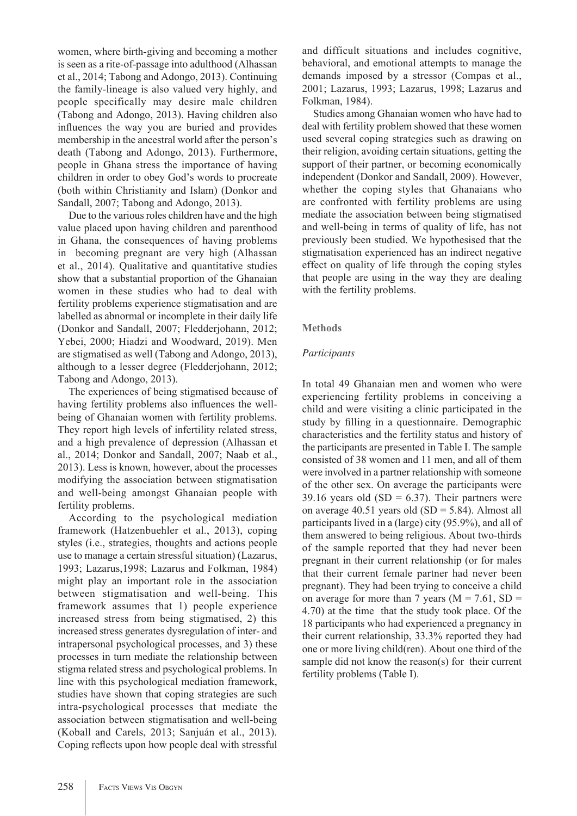women, where birth-giving and becoming a mother is seen as a rite-of-passage into adulthood (Alhassan et al., 2014; Tabong and Adongo, 2013). Continuing the family-lineage is also valued very highly, and people specifically may desire male children (Tabong and Adongo, 2013). Having children also influences the way you are buried and provides membership in the ancestral world after the person's death (Tabong and Adongo, 2013). Furthermore, people in Ghana stress the importance of having children in order to obey God's words to procreate (both within Christianity and Islam) (Donkor and Sandall, 2007; Tabong and Adongo, 2013).

Due to the various roles children have and the high value placed upon having children and parenthood in Ghana, the consequences of having problems in becoming pregnant are very high (Alhassan et al., 2014). Qualitative and quantitative studies show that a substantial proportion of the Ghanaian women in these studies who had to deal with fertility problems experience stigmatisation and are labelled as abnormal or incomplete in their daily life (Donkor and Sandall, 2007; Fledderjohann, 2012; Yebei, 2000; Hiadzi and Woodward, 2019). Men are stigmatised as well (Tabong and Adongo, 2013), although to a lesser degree (Fledderjohann, 2012; Tabong and Adongo, 2013).

The experiences of being stigmatised because of having fertility problems also influences the wellbeing of Ghanaian women with fertility problems. They report high levels of infertility related stress, and a high prevalence of depression (Alhassan et al., 2014; Donkor and Sandall, 2007; Naab et al., 2013). Less is known, however, about the processes modifying the association between stigmatisation and well-being amongst Ghanaian people with fertility problems.

According to the psychological mediation framework (Hatzenbuehler et al., 2013), coping styles (i.e., strategies, thoughts and actions people use to manage a certain stressful situation) (Lazarus, 1993; Lazarus,1998; Lazarus and Folkman, 1984) might play an important role in the association between stigmatisation and well-being. This framework assumes that 1) people experience increased stress from being stigmatised, 2) this increased stress generates dysregulation of inter- and intrapersonal psychological processes, and 3) these processes in turn mediate the relationship between stigma related stress and psychological problems. In line with this psychological mediation framework, studies have shown that coping strategies are such intra-psychological processes that mediate the association between stigmatisation and well-being (Koball and Carels, 2013; Sanjuán et al., 2013). Coping reflects upon how people deal with stressful

and difficult situations and includes cognitive, behavioral, and emotional attempts to manage the demands imposed by a stressor (Compas et al., 2001; Lazarus, 1993; Lazarus, 1998; Lazarus and Folkman, 1984).

Studies among Ghanaian women who have had to deal with fertility problem showed that these women used several coping strategies such as drawing on their religion, avoiding certain situations, getting the support of their partner, or becoming economically independent (Donkor and Sandall, 2009). However, whether the coping styles that Ghanaians who are confronted with fertility problems are using mediate the association between being stigmatised and well-being in terms of quality of life, has not previously been studied. We hypothesised that the stigmatisation experienced has an indirect negative effect on quality of life through the coping styles that people are using in the way they are dealing with the fertility problems.

## **Methods**

## *Participants*

In total 49 Ghanaian men and women who were experiencing fertility problems in conceiving a child and were visiting a clinic participated in the study by filling in a questionnaire. Demographic characteristics and the fertility status and history of the participants are presented in Table I. The sample consisted of 38 women and 11 men, and all of them were involved in a partner relationship with someone of the other sex. On average the participants were 39.16 years old  $(SD = 6.37)$ . Their partners were on average 40.51 years old  $(SD = 5.84)$ . Almost all participants lived in a (large) city (95.9%), and all of them answered to being religious. About two-thirds of the sample reported that they had never been pregnant in their current relationship (or for males that their current female partner had never been pregnant). They had been trying to conceive a child on average for more than 7 years ( $M = 7.61$ ,  $SD =$ 4.70) at the time that the study took place. Of the 18 participants who had experienced a pregnancy in their current relationship, 33.3% reported they had one or more living child(ren). About one third of the sample did not know the reason(s) for their current fertility problems (Table I).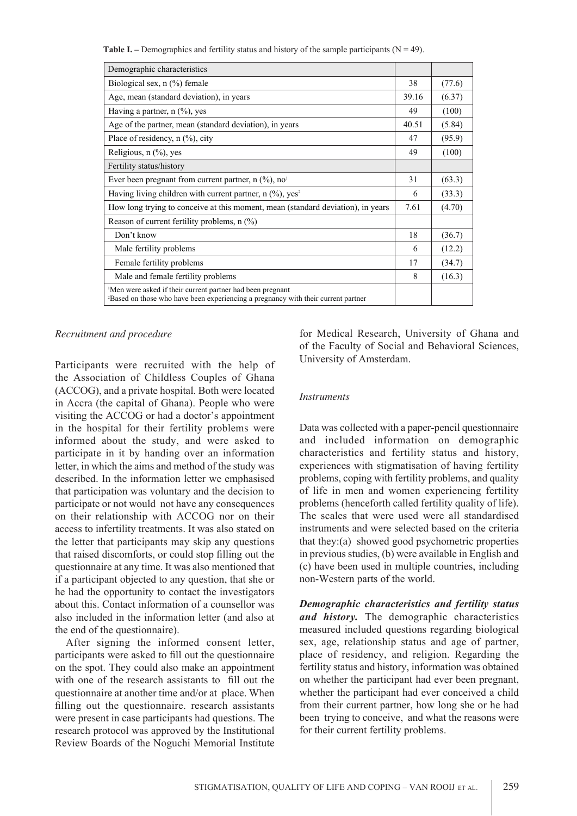**Table I.** – Demographics and fertility status and history of the sample participants ( $N = 49$ ).

| Demographic characteristics                                                                                                                                |       |        |
|------------------------------------------------------------------------------------------------------------------------------------------------------------|-------|--------|
| Biological sex, $n$ (%) female                                                                                                                             | 38    | (77.6) |
| Age, mean (standard deviation), in years                                                                                                                   | 39.16 | (6.37) |
| Having a partner, $n$ (%), yes                                                                                                                             | 49    | (100)  |
| Age of the partner, mean (standard deviation), in years                                                                                                    | 40.51 | (5.84) |
| Place of residency, $n$ $(\%)$ , city                                                                                                                      | 47    | (95.9) |
| Religious, $n$ $(\%)$ , yes                                                                                                                                | 49    | (100)  |
| Fertility status/history                                                                                                                                   |       |        |
| Ever been pregnant from current partner, $n \binom{0}{0}$ , $no1$                                                                                          | 31    | (63.3) |
| Having living children with current partner, $n$ (%), yes <sup>2</sup>                                                                                     | 6     | (33.3) |
| How long trying to conceive at this moment, mean (standard deviation), in years                                                                            | 7.61  | (4.70) |
| Reason of current fertility problems, $n$ $\left(\frac{\%}{\%}\right)$                                                                                     |       |        |
| Don't know                                                                                                                                                 | 18    | (36.7) |
| Male fertility problems                                                                                                                                    | 6     | (12.2) |
| Female fertility problems                                                                                                                                  | 17    | (34.7) |
| Male and female fertility problems                                                                                                                         | 8     | (16.3) |
| Men were asked if their current partner had been pregnant<br><sup>2</sup> Based on those who have been experiencing a pregnancy with their current partner |       |        |

*Recruitment and procedure*

Participants were recruited with the help of the Association of Childless Couples of Ghana (ACCOG), and a private hospital. Both were located in Accra (the capital of Ghana). People who were visiting the ACCOG or had a doctor's appointment in the hospital for their fertility problems were informed about the study, and were asked to participate in it by handing over an information letter, in which the aims and method of the study was described. In the information letter we emphasised that participation was voluntary and the decision to participate or not would not have any consequences on their relationship with ACCOG nor on their access to infertility treatments. It was also stated on the letter that participants may skip any questions that raised discomforts, or could stop filling out the questionnaire at any time. It was also mentioned that if a participant objected to any question, that she or he had the opportunity to contact the investigators about this. Contact information of a counsellor was also included in the information letter (and also at the end of the questionnaire).

After signing the informed consent letter, participants were asked to fill out the questionnaire on the spot. They could also make an appointment with one of the research assistants to fill out the questionnaire at another time and/or at place. When filling out the questionnaire. research assistants were present in case participants had questions. The research protocol was approved by the Institutional Review Boards of the Noguchi Memorial Institute

for Medical Research, University of Ghana and of the Faculty of Social and Behavioral Sciences, University of Amsterdam.

#### *Instruments*

Data was collected with a paper-pencil questionnaire and included information on demographic characteristics and fertility status and history, experiences with stigmatisation of having fertility problems, coping with fertility problems, and quality of life in men and women experiencing fertility problems (henceforth called fertility quality of life). The scales that were used were all standardised instruments and were selected based on the criteria that they:(a) showed good psychometric properties in previous studies, (b) were available in English and (c) have been used in multiple countries, including non-Western parts of the world.

*Demographic characteristics and fertility status and history.* The demographic characteristics measured included questions regarding biological sex, age, relationship status and age of partner, place of residency, and religion. Regarding the fertility status and history, information was obtained on whether the participant had ever been pregnant, whether the participant had ever conceived a child from their current partner, how long she or he had been trying to conceive, and what the reasons were for their current fertility problems.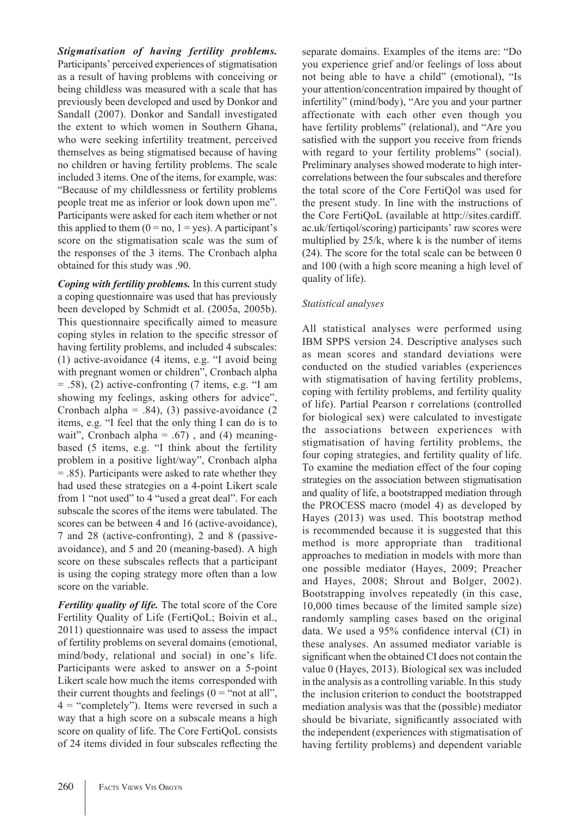# *Stigmatisation of having fertility problems.*

Participants' perceived experiences of stigmatisation as a result of having problems with conceiving or being childless was measured with a scale that has previously been developed and used by Donkor and Sandall (2007). Donkor and Sandall investigated the extent to which women in Southern Ghana, who were seeking infertility treatment, perceived themselves as being stigmatised because of having no children or having fertility problems. The scale included 3 items. One of the items, for example, was: "Because of my childlessness or fertility problems people treat me as inferior or look down upon me". Participants were asked for each item whether or not this applied to them  $(0 = no, 1 = yes)$ . A participant's score on the stigmatisation scale was the sum of the responses of the 3 items. The Cronbach alpha obtained for this study was .90.

*Coping with fertility problems.* In this current study a coping questionnaire was used that has previously been developed by Schmidt et al. (2005a, 2005b). This questionnaire specifically aimed to measure coping styles in relation to the specific stressor of having fertility problems, and included 4 subscales: (1) active-avoidance (4 items, e.g. "I avoid being with pregnant women or children", Cronbach alpha  $=$  .58), (2) active-confronting (7 items, e.g. "I am showing my feelings, asking others for advice", Cronbach alpha =  $.84$ ), (3) passive-avoidance (2) items, e.g. "I feel that the only thing I can do is to wait", Cronbach alpha =  $.67$ ), and (4) meaningbased (5 items, e.g. "I think about the fertility problem in a positive light/way", Cronbach alpha = .85). Participants were asked to rate whether they had used these strategies on a 4-point Likert scale from 1 "not used" to 4 "used a great deal". For each subscale the scores of the items were tabulated. The scores can be between 4 and 16 (active-avoidance), 7 and 28 (active-confronting), 2 and 8 (passiveavoidance), and 5 and 20 (meaning-based). A high score on these subscales reflects that a participant is using the coping strategy more often than a low score on the variable.

*Fertility quality of life.* The total score of the Core Fertility Quality of Life (FertiQoL; Boivin et al., 2011) questionnaire was used to assess the impact of fertility problems on several domains (emotional, mind/body, relational and social) in one's life. Participants were asked to answer on a 5-point Likert scale how much the items corresponded with their current thoughts and feelings  $(0 = "not at all",$ 4 = "completely"). Items were reversed in such a way that a high score on a subscale means a high score on quality of life. The Core FertiQoL consists of 24 items divided in four subscales reflecting the separate domains. Examples of the items are: "Do you experience grief and/or feelings of loss about not being able to have a child" (emotional), "Is your attention/concentration impaired by thought of infertility" (mind/body), "Are you and your partner affectionate with each other even though you have fertility problems" (relational), and "Are you satisfied with the support you receive from friends with regard to your fertility problems" (social). Preliminary analyses showed moderate to high intercorrelations between the four subscales and therefore the total score of the Core FertiQol was used for the present study. In line with the instructions of the Core FertiQoL (available at http://sites.cardiff. ac.uk/fertiqol/scoring) participants' raw scores were multiplied by 25/k, where k is the number of items (24). The score for the total scale can be between 0 and 100 (with a high score meaning a high level of quality of life).

## *Statistical analyses*

All statistical analyses were performed using IBM SPPS version 24. Descriptive analyses such as mean scores and standard deviations were conducted on the studied variables (experiences with stigmatisation of having fertility problems, coping with fertility problems, and fertility quality of life). Partial Pearson r correlations (controlled for biological sex) were calculated to investigate the associations between experiences with stigmatisation of having fertility problems, the four coping strategies, and fertility quality of life. To examine the mediation effect of the four coping strategies on the association between stigmatisation and quality of life, a bootstrapped mediation through the PROCESS macro (model 4) as developed by Hayes (2013) was used. This bootstrap method is recommended because it is suggested that this method is more appropriate than traditional approaches to mediation in models with more than one possible mediator (Hayes, 2009; Preacher and Hayes, 2008; Shrout and Bolger, 2002). Bootstrapping involves repeatedly (in this case, 10,000 times because of the limited sample size) randomly sampling cases based on the original data. We used a 95% confidence interval (CI) in these analyses. An assumed mediator variable is significant when the obtained CI does not contain the value 0 (Hayes, 2013). Biological sex was included in the analysis as a controlling variable. In this study the inclusion criterion to conduct the bootstrapped mediation analysis was that the (possible) mediator should be bivariate, significantly associated with the independent (experiences with stigmatisation of having fertility problems) and dependent variable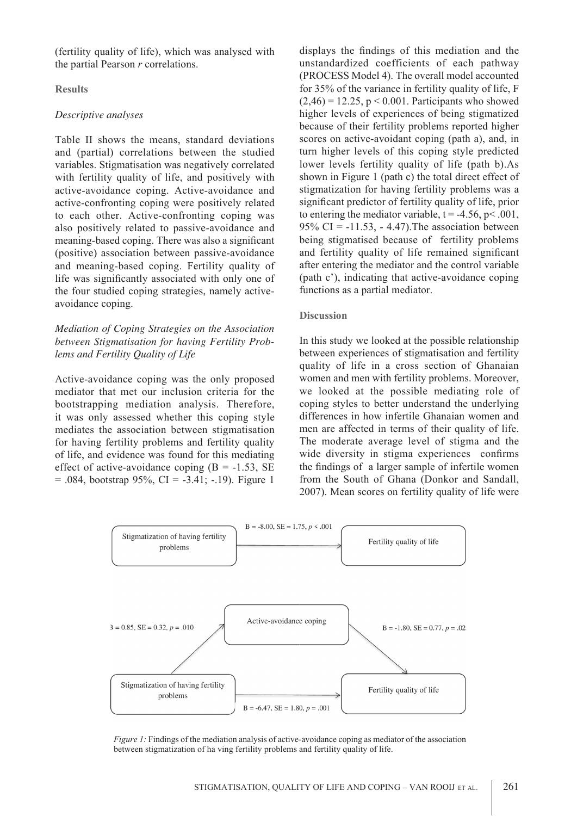(fertility quality of life), which was analysed with the partial Pearson *r* correlations.

#### **Results**

## *Descriptive analyses*

Table II shows the means, standard deviations and (partial) correlations between the studied variables. Stigmatisation was negatively correlated with fertility quality of life, and positively with active-avoidance coping. Active-avoidance and active-confronting coping were positively related to each other. Active-confronting coping was also positively related to passive-avoidance and meaning-based coping. There was also a significant (positive) association between passive-avoidance and meaning-based coping. Fertility quality of life was significantly associated with only one of the four studied coping strategies, namely activeavoidance coping.

# *Mediation of Coping Strategies on the Association between Stigmatisation for having Fertility Problems and Fertility Quality of Life*

Active-avoidance coping was the only proposed mediator that met our inclusion criteria for the bootstrapping mediation analysis. Therefore, it was only assessed whether this coping style mediates the association between stigmatisation for having fertility problems and fertility quality of life, and evidence was found for this mediating effect of active-avoidance coping  $(B = -1.53, SE)$  $= .084$ , bootstrap 95%, CI = -3.41; -.19). Figure 1

displays the findings of this mediation and the unstandardized coefficients of each pathway (PROCESS Model 4). The overall model accounted for 35% of the variance in fertility quality of life, F  $(2,46) = 12.25$ ,  $p < 0.001$ . Participants who showed higher levels of experiences of being stigmatized because of their fertility problems reported higher scores on active-avoidant coping (path a), and, in turn higher levels of this coping style predicted lower levels fertility quality of life (path b).As shown in Figure 1 (path c) the total direct effect of stigmatization for having fertility problems was a significant predictor of fertility quality of life, prior to entering the mediator variable,  $t = -4.56$ ,  $p < .001$ , 95% CI =  $-11.53$ ,  $- 4.47$ ). The association between being stigmatised because of fertility problems and fertility quality of life remained significant after entering the mediator and the control variable (path c'), indicating that active-avoidance coping functions as a partial mediator.

#### **Discussion**

In this study we looked at the possible relationship between experiences of stigmatisation and fertility quality of life in a cross section of Ghanaian women and men with fertility problems. Moreover, we looked at the possible mediating role of coping styles to better understand the underlying differences in how infertile Ghanaian women and men are affected in terms of their quality of life. The moderate average level of stigma and the wide diversity in stigma experiences confirms the findings of a larger sample of infertile women from the South of Ghana (Donkor and Sandall, 2007). Mean scores on fertility quality of life were



*Figure 1:* Findings of the mediation analysis of active-avoidance coping as mediator of the association between stigmatization of ha ving fertility problems and fertility quality of life.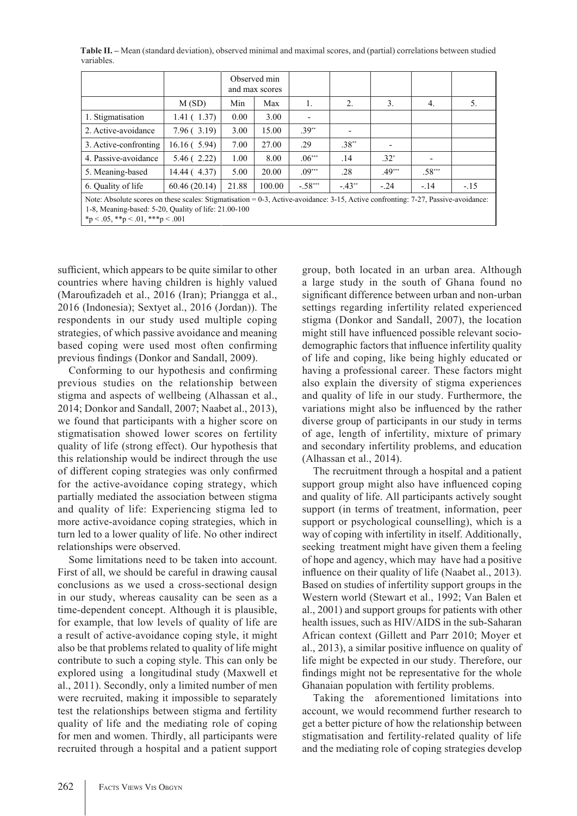**Table II. –** Mean (standard deviation), observed minimal and maximal scores, and (partial) correlations between studied variables.

|                                                                                                                                                                                                                                        |              | Observed min<br>and max scores |        |           |          |           |                          |        |  |  |
|----------------------------------------------------------------------------------------------------------------------------------------------------------------------------------------------------------------------------------------|--------------|--------------------------------|--------|-----------|----------|-----------|--------------------------|--------|--|--|
|                                                                                                                                                                                                                                        | M(SD)        | Min                            | Max    | 1.        | 2.       | 3.        | $\overline{4}$ .         | 5.     |  |  |
| 1. Stigmatisation                                                                                                                                                                                                                      | 1.41(1.37)   | 0.00                           | 3.00   | ٠         |          |           |                          |        |  |  |
| 2. Active-avoidance                                                                                                                                                                                                                    | 7.96(3.19)   | 3.00                           | 15.00  | $.39**$   |          |           |                          |        |  |  |
| 3. Active-confronting                                                                                                                                                                                                                  | 16.16(5.94)  | 7.00                           | 27.00  | .29       | $.38**$  |           |                          |        |  |  |
| 4. Passive-avoidance                                                                                                                                                                                                                   | 5.46(2.22)   | 1.00                           | 8.00   | $.06***$  | .14      | $.32^{*}$ | $\overline{\phantom{0}}$ |        |  |  |
| 5. Meaning-based                                                                                                                                                                                                                       | 14.44 (4.37) | 5.00                           | 20.00  | $.09***$  | .28      | $.49***$  | $.58***$                 |        |  |  |
| 6. Quality of life                                                                                                                                                                                                                     | 60.46(20.14) | 21.88                          | 100.00 | $-.58***$ | $-.43**$ | $-24$     | $-.14$                   | $-.15$ |  |  |
| Note: Absolute scores on these scales: Stigmatisation = $0-3$ , Active-avoidance: $3-15$ , Active confronting: $7-27$ , Passive-avoidance:<br>1-8, Meaning-based: 5-20, Quality of life: 21.00-100<br>*p < .05, **p < .01, ***p < .001 |              |                                |        |           |          |           |                          |        |  |  |

sufficient, which appears to be quite similar to other countries where having children is highly valued (Maroufizadeh et al., 2016 (Iran); Priangga et al., 2016 (Indonesia); Sextyet al., 2016 (Jordan)). The respondents in our study used multiple coping strategies, of which passive avoidance and meaning based coping were used most often confirming previous findings (Donkor and Sandall, 2009).

Conforming to our hypothesis and confirming previous studies on the relationship between stigma and aspects of wellbeing (Alhassan et al., 2014; Donkor and Sandall, 2007; Naabet al., 2013), we found that participants with a higher score on stigmatisation showed lower scores on fertility quality of life (strong effect). Our hypothesis that this relationship would be indirect through the use of different coping strategies was only confirmed for the active-avoidance coping strategy, which partially mediated the association between stigma and quality of life: Experiencing stigma led to more active-avoidance coping strategies, which in turn led to a lower quality of life. No other indirect relationships were observed.

Some limitations need to be taken into account. First of all, we should be careful in drawing causal conclusions as we used a cross-sectional design in our study, whereas causality can be seen as a time-dependent concept. Although it is plausible, for example, that low levels of quality of life are a result of active-avoidance coping style, it might also be that problems related to quality of life might contribute to such a coping style. This can only be explored using a longitudinal study (Maxwell et al., 2011). Secondly, only a limited number of men were recruited, making it impossible to separately test the relationships between stigma and fertility quality of life and the mediating role of coping for men and women. Thirdly, all participants were recruited through a hospital and a patient support group, both located in an urban area. Although a large study in the south of Ghana found no significant difference between urban and non-urban settings regarding infertility related experienced stigma (Donkor and Sandall, 2007), the location might still have influenced possible relevant sociodemographic factors that influence infertility quality of life and coping, like being highly educated or having a professional career. These factors might also explain the diversity of stigma experiences and quality of life in our study. Furthermore, the variations might also be influenced by the rather diverse group of participants in our study in terms of age, length of infertility, mixture of primary and secondary infertility problems, and education (Alhassan et al., 2014).

The recruitment through a hospital and a patient support group might also have influenced coping and quality of life. All participants actively sought support (in terms of treatment, information, peer support or psychological counselling), which is a way of coping with infertility in itself. Additionally, seeking treatment might have given them a feeling of hope and agency, which may have had a positive influence on their quality of life (Naabet al., 2013). Based on studies of infertility support groups in the Western world (Stewart et al., 1992; Van Balen et al., 2001) and support groups for patients with other health issues, such as HIV/AIDS in the sub-Saharan African context (Gillett and Parr 2010; Moyer et al., 2013), a similar positive influence on quality of life might be expected in our study. Therefore, our findings might not be representative for the whole Ghanaian population with fertility problems.

Taking the aforementioned limitations into account, we would recommend further research to get a better picture of how the relationship between stigmatisation and fertility-related quality of life and the mediating role of coping strategies develop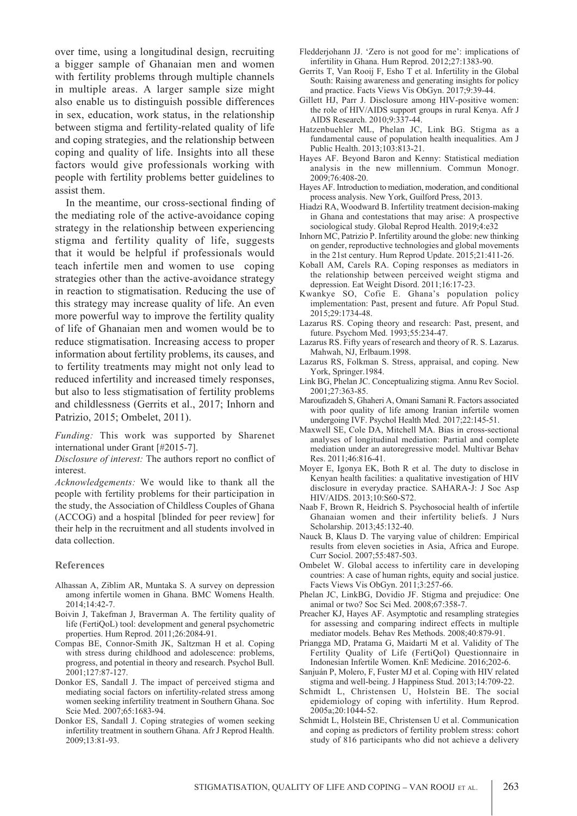over time, using a longitudinal design, recruiting a bigger sample of Ghanaian men and women with fertility problems through multiple channels in multiple areas. A larger sample size might also enable us to distinguish possible differences in sex, education, work status, in the relationship between stigma and fertility-related quality of life and coping strategies, and the relationship between coping and quality of life. Insights into all these factors would give professionals working with people with fertility problems better guidelines to assist them.

In the meantime, our cross-sectional finding of the mediating role of the active-avoidance coping strategy in the relationship between experiencing stigma and fertility quality of life, suggests that it would be helpful if professionals would teach infertile men and women to use coping strategies other than the active-avoidance strategy in reaction to stigmatisation. Reducing the use of this strategy may increase quality of life. An even more powerful way to improve the fertility quality of life of Ghanaian men and women would be to reduce stigmatisation. Increasing access to proper information about fertility problems, its causes, and to fertility treatments may might not only lead to reduced infertility and increased timely responses, but also to less stigmatisation of fertility problems and childlessness (Gerrits et al., 2017; Inhorn and Patrizio, 2015; Ombelet, 2011).

*Funding:* This work was supported by Sharenet international under Grant [#2015-7].

*Disclosure of interest:* The authors report no conflict of interest.

*Acknowledgements:* We would like to thank all the people with fertility problems for their participation in the study, the Association of Childless Couples of Ghana (ACCOG) and a hospital [blinded for peer review] for their help in the recruitment and all students involved in data collection.

#### **References**

- Alhassan A, Ziblim AR, Muntaka S. A survey on depression among infertile women in Ghana. BMC Womens Health. 2014;14:42-7.
- Boivin J, Takefman J, Braverman A. The fertility quality of life (FertiQoL) tool: development and general psychometric properties. Hum Reprod. 2011;26:2084-91.
- Compas BE, Connor-Smith JK, Saltzman H et al. Coping with stress during childhood and adolescence: problems, progress, and potential in theory and research. Psychol Bull. 2001;127:87-127.
- Donkor ES, Sandall J. The impact of perceived stigma and mediating social factors on infertility-related stress among women seeking infertility treatment in Southern Ghana. Soc Scie Med. 2007;65:1683-94.
- Donkor ES, Sandall J. Coping strategies of women seeking infertility treatment in southern Ghana. Afr J Reprod Health. 2009;13:81-93.
- Fledderjohann JJ. 'Zero is not good for me': implications of infertility in Ghana. Hum Reprod. 2012;27:1383-90.
- Gerrits T, Van Rooij F, Esho T et al. Infertility in the Global South: Raising awareness and generating insights for policy and practice. Facts Views Vis ObGyn. 2017;9:39-44.
- Gillett HJ, Parr J. Disclosure among HIV-positive women: the role of HIV/AIDS support groups in rural Kenya. Afr J AIDS Research. 2010;9:337-44.
- Hatzenbuehler ML, Phelan JC, Link BG. Stigma as a fundamental cause of population health inequalities. Am J Public Health. 2013;103:813-21.
- Hayes AF. Beyond Baron and Kenny: Statistical mediation analysis in the new millennium. Commun Monogr. 2009;76:408-20.
- Hayes AF. Introduction to mediation, moderation, and conditional process analysis. New York, Guilford Press, 2013.
- Hiadzi RA, Woodward B. Infertility treatment decision-making in Ghana and contestations that may arise: A prospective sociological study. Global Reprod Health. 2019;4:e32
- Inhorn MC, Patrizio P. Infertility around the globe: new thinking on gender, reproductive technologies and global movements in the 21st century. Hum Reprod Update. 2015;21:411-26.
- Koball AM, Carels RA. Coping responses as mediators in the relationship between perceived weight stigma and depression. Eat Weight Disord. 2011;16:17-23.
- Kwankye SO, Cofie E. Ghana's population policy implementation: Past, present and future. Afr Popul Stud. 2015;29:1734-48.
- Lazarus RS. Coping theory and research: Past, present, and future. Psychom Med. 1993;55:234-47.
- Lazarus RS. Fifty years of research and theory of R. S. Lazarus. Mahwah, NJ, Erlbaum.1998.
- Lazarus RS, Folkman S. Stress, appraisal, and coping. New York, Springer.1984.
- Link BG, Phelan JC. Conceptualizing stigma. Annu Rev Sociol. 2001;27:363-85.
- Maroufizadeh S, Ghaheri A, Omani Samani R. Factors associated with poor quality of life among Iranian infertile women undergoing IVF. Psychol Health Med. 2017;22:145-51.
- Maxwell SE, Cole DA, Mitchell MA. Bias in cross-sectional analyses of longitudinal mediation: Partial and complete mediation under an autoregressive model. Multivar Behav Res. 2011;46:816-41.
- Moyer E, Igonya EK, Both R et al. The duty to disclose in Kenyan health facilities: a qualitative investigation of HIV disclosure in everyday practice. SAHARA-J: J Soc Asp HIV/AIDS. 2013;10:S60-S72.
- Naab F, Brown R, Heidrich S. Psychosocial health of infertile Ghanaian women and their infertility beliefs. J Nurs Scholarship. 2013;45:132-40.
- Nauck B, Klaus D. The varying value of children: Empirical results from eleven societies in Asia, Africa and Europe. Curr Sociol. 2007;55:487-503.
- Ombelet W. Global access to infertility care in developing countries: A case of human rights, equity and social justice. Facts Views Vis ObGyn. 2011;3:257-66.
- Phelan JC, LinkBG, Dovidio JF. Stigma and prejudice: One animal or two? Soc Sci Med. 2008;67:358-7.
- Preacher KJ, Hayes AF. Asymptotic and resampling strategies for assessing and comparing indirect effects in multiple mediator models. Behav Res Methods. 2008;40:879-91.
- Priangga MD, Pratama G, Maidarti M et al. Validity of The Fertility Quality of Life (FertiQol) Questionnaire in Indonesian Infertile Women. KnE Medicine. 2016;202-6.
- Sanjuán P, Molero, F, Fuster MJ et al. Coping with HIV related stigma and well-being. J Happiness Stud. 2013;14:709-22.
- Schmidt L, Christensen U, Holstein BE. The social epidemiology of coping with infertility. Hum Reprod. 2005a;20:1044-52.
- Schmidt L, Holstein BE, Christensen U et al. Communication and coping as predictors of fertility problem stress: cohort study of 816 participants who did not achieve a delivery